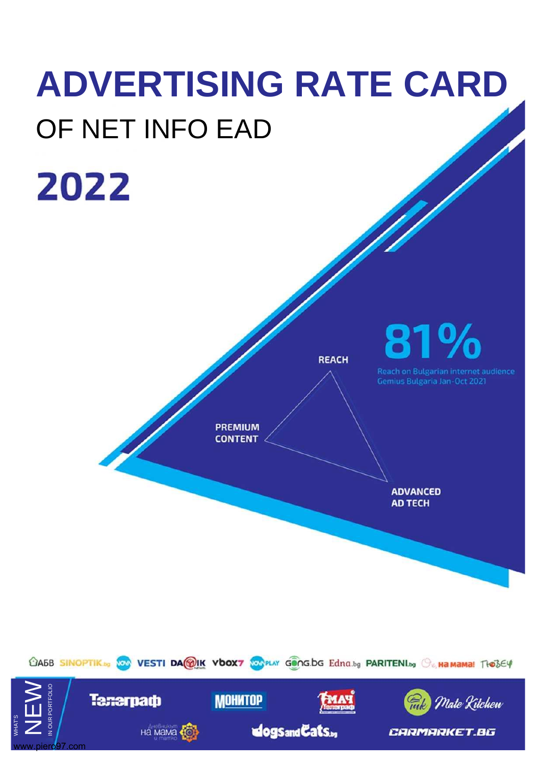# **ADVERTISING RATE CARD** OF NET INFO EAD 2022 81 **REACH** Reach on Bulgarian internet audience Gemius Bulgaria Jan-Oct 2021 <u>N</u> **PREMIUM CONTENT ADVANCED AD TECH** CA5B SINOPTIK & SOO VESTI DA WIK VOOX7 SOOPLAY GONGLOG Edna.bg PARITENILLY OF HAMAMA! THOSEY

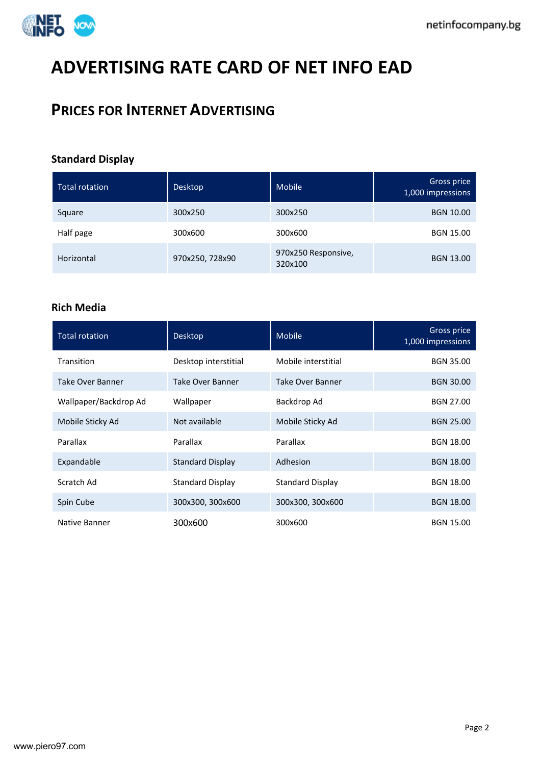

# **ADVERTISING RATE CARD OF NET INFO EAD**

# **PRICES FOR INTERNET ADVERTISING**

# **Standard Display**

| <b>Total rotation</b> | <b>Desktop</b>  | Mobile                         | Gross price<br>1,000 impressions |
|-----------------------|-----------------|--------------------------------|----------------------------------|
| Square                | 300x250         | 300x250                        | <b>BGN 10.00</b>                 |
| Half page             | 300x600         | 300x600                        | <b>BGN 15.00</b>                 |
| Horizontal            | 970x250, 728x90 | 970x250 Responsive,<br>320x100 | <b>BGN 13.00</b>                 |

# **Rich Media**

| <b>Total rotation</b>   | <b>Desktop</b>          | Mobile                  | Gross price<br>1,000 impressions |
|-------------------------|-------------------------|-------------------------|----------------------------------|
| Transition              | Desktop interstitial    | Mobile interstitial     | <b>BGN 35.00</b>                 |
| <b>Take Over Banner</b> | Take Over Banner        | Take Over Banner        | <b>BGN 30.00</b>                 |
| Wallpaper/Backdrop Ad   | Wallpaper               | Backdrop Ad             | <b>BGN 27.00</b>                 |
| Mobile Sticky Ad        | Not available           | Mobile Sticky Ad        | <b>BGN 25.00</b>                 |
| Parallax                | Parallax                | Parallax                | <b>BGN 18.00</b>                 |
| Expandable              | <b>Standard Display</b> | Adhesion                | <b>BGN 18.00</b>                 |
| Scratch Ad              | <b>Standard Display</b> | <b>Standard Display</b> | <b>BGN 18.00</b>                 |
| Spin Cube               | 300x300, 300x600        | 300x300, 300x600        | <b>BGN 18.00</b>                 |
| Native Banner           | 300x600                 | 300x600                 | <b>BGN 15.00</b>                 |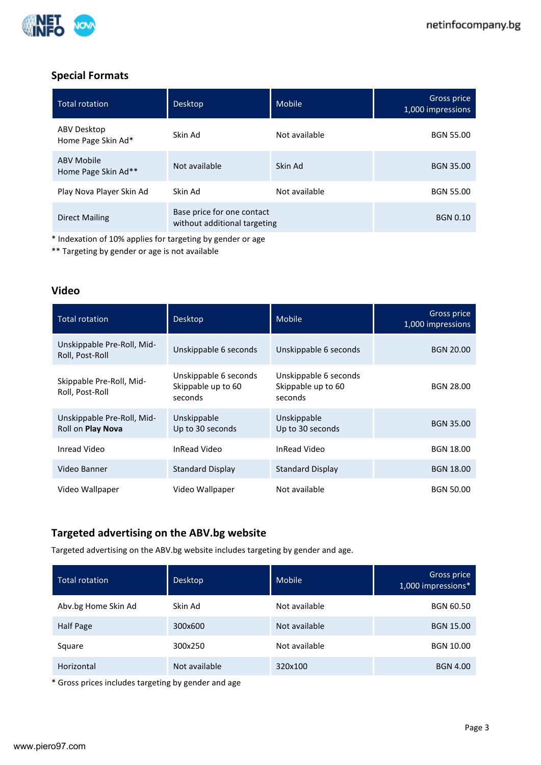

# **Special Formats**

| <b>Total rotation</b>                    | <b>Desktop</b>                                             | Mobile        | Gross price<br>1,000 impressions |
|------------------------------------------|------------------------------------------------------------|---------------|----------------------------------|
| ABV Desktop<br>Home Page Skin Ad*        | Skin Ad                                                    | Not available | <b>BGN 55.00</b>                 |
| <b>ABV Mobile</b><br>Home Page Skin Ad** | Not available                                              | Skin Ad       | <b>BGN 35.00</b>                 |
| Play Nova Player Skin Ad                 | Skin Ad                                                    | Not available | <b>BGN 55.00</b>                 |
| Direct Mailing                           | Base price for one contact<br>without additional targeting |               | <b>BGN 0.10</b>                  |

\* Indexation of 10% applies for targeting by gender or age

\*\* Targeting by gender or age is not available

# **Video**

| <b>Total rotation</b>                           | Desktop                                                | Mobile                                                 | Gross price<br>1,000 impressions |
|-------------------------------------------------|--------------------------------------------------------|--------------------------------------------------------|----------------------------------|
| Unskippable Pre-Roll, Mid-<br>Roll, Post-Roll   | Unskippable 6 seconds                                  | Unskippable 6 seconds                                  | <b>BGN 20.00</b>                 |
| Skippable Pre-Roll, Mid-<br>Roll, Post-Roll     | Unskippable 6 seconds<br>Skippable up to 60<br>seconds | Unskippable 6 seconds<br>Skippable up to 60<br>seconds | <b>BGN 28.00</b>                 |
| Unskippable Pre-Roll, Mid-<br>Roll on Play Nova | Unskippable<br>Up to 30 seconds                        | Unskippable<br>Up to 30 seconds                        | <b>BGN 35.00</b>                 |
| Inread Video                                    | <b>InRead Video</b>                                    | <b>InRead Video</b>                                    | <b>BGN 18.00</b>                 |
| Video Banner                                    | <b>Standard Display</b>                                | <b>Standard Display</b>                                | <b>BGN 18.00</b>                 |
| Video Wallpaper                                 | Video Wallpaper                                        | Not available                                          | <b>BGN 50.00</b>                 |

# **Targeted advertising on the ABV.bg website**

Targeted advertising on the ABV.bg website includes targeting by gender and age.

| <b>Total rotation</b> | <b>Desktop</b> | Mobile        | Gross price<br>1,000 impressions* |
|-----------------------|----------------|---------------|-----------------------------------|
| Abv.bg Home Skin Ad   | Skin Ad        | Not available | <b>BGN 60.50</b>                  |
| Half Page             | 300x600        | Not available | <b>BGN 15.00</b>                  |
| Square                | 300x250        | Not available | <b>BGN 10.00</b>                  |
| Horizontal            | Not available  | 320x100       | <b>BGN 4.00</b>                   |

\* Gross prices includes targeting by gender and age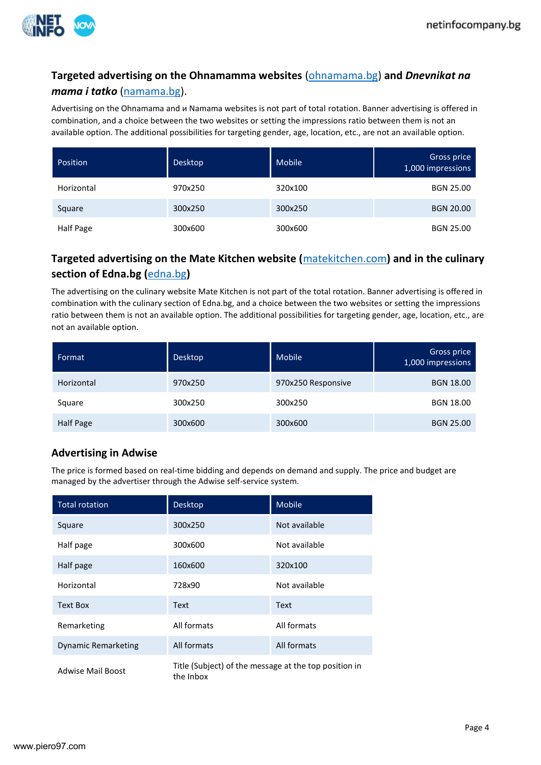

# **Targeted advertising on the Ohnamamma websites** [\(ohnamama.bg\)](https://ohnamama.bg/) **and** *Dnevnikat na mama i tatko* [\(namama.bg\)](https://namama.bg/).

Advertising on the Ohnamama and и Namama websites is not part of total rotation. Banner advertising is offered in combination, and a choice between the two websites or setting the impressions ratio between them is not an available option. The additional possibilities for targeting gender, age, location, etc., are not an available option.

| Position   | <b>Desktop</b> | <b>Mobile</b> | Gross price<br>1,000 impressions |
|------------|----------------|---------------|----------------------------------|
| Horizontal | 970x250        | 320x100       | <b>BGN 25.00</b>                 |
| Square     | 300x250        | 300x250       | <b>BGN 20.00</b>                 |
| Half Page  | 300x600        | 300x600       | <b>BGN 25.00</b>                 |

# **Targeted advertising on the Mate Kitchen website (**[matekitchen.com](https://matekitchen.com/)**) and in the culinary section of Edna.bg (**[edna.bg](https://www.edna.bg/)**)**

The advertising on the culinary website Mate Kitchen is not part of the total rotation. Banner advertising is offered in combination with the culinary section of Edna.bg, and a choice between the two websites or setting the impressions ratio between them is not an available option. The additional possibilities for targeting gender, age, location, etc., are not an available option.

| Format     | Desktop | <b>Mobile</b>      | Gross price<br>1,000 impressions |
|------------|---------|--------------------|----------------------------------|
| Horizontal | 970x250 | 970x250 Responsive | <b>BGN 18.00</b>                 |
| Square     | 300x250 | 300x250            | <b>BGN 18.00</b>                 |
| Half Page  | 300x600 | 300x600            | <b>BGN 25.00</b>                 |

# **Advertising in Adwise**

The price is formed based on real-time bidding and depends on demand and supply. The price and budget are managed by the advertiser through the Adwise self-service system.

| <b>Total rotation</b>      | Desktop                                                            | <b>Mobile</b> |
|----------------------------|--------------------------------------------------------------------|---------------|
| Square                     | 300x250                                                            | Not available |
| Half page                  | 300x600                                                            | Not available |
| Half page                  | 160x600                                                            | 320x100       |
| Horizontal                 | 728x90                                                             | Not available |
| Text Box                   | Text                                                               | Text          |
| Remarketing                | All formats                                                        | All formats   |
| <b>Dynamic Remarketing</b> | All formats                                                        | All formats   |
| <b>Adwise Mail Boost</b>   | Title (Subject) of the message at the top position in<br>the Inbox |               |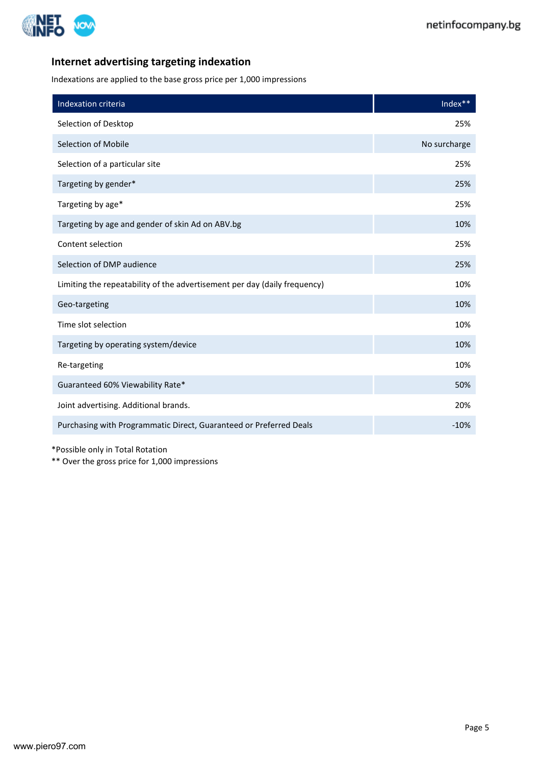

# **Internet advertising targeting indexation**

Indexations are applied to the base gross price per 1,000 impressions

| Indexation criteria                                                       | Index**      |
|---------------------------------------------------------------------------|--------------|
| Selection of Desktop                                                      | 25%          |
| Selection of Mobile                                                       | No surcharge |
| Selection of a particular site                                            | 25%          |
| Targeting by gender*                                                      | 25%          |
| Targeting by age*                                                         | 25%          |
| Targeting by age and gender of skin Ad on ABV.bg                          | 10%          |
| Content selection                                                         | 25%          |
| Selection of DMP audience                                                 | 25%          |
| Limiting the repeatability of the advertisement per day (daily frequency) | 10%          |
| Geo-targeting                                                             | 10%          |
| Time slot selection                                                       | 10%          |
| Targeting by operating system/device                                      | 10%          |
| Re-targeting                                                              | 10%          |
| Guaranteed 60% Viewability Rate*                                          | 50%          |
| Joint advertising. Additional brands.                                     | 20%          |
| Purchasing with Programmatic Direct, Guaranteed or Preferred Deals        | $-10%$       |

\*Possible only in Total Rotation

\*\* Over the gross price for 1,000 impressions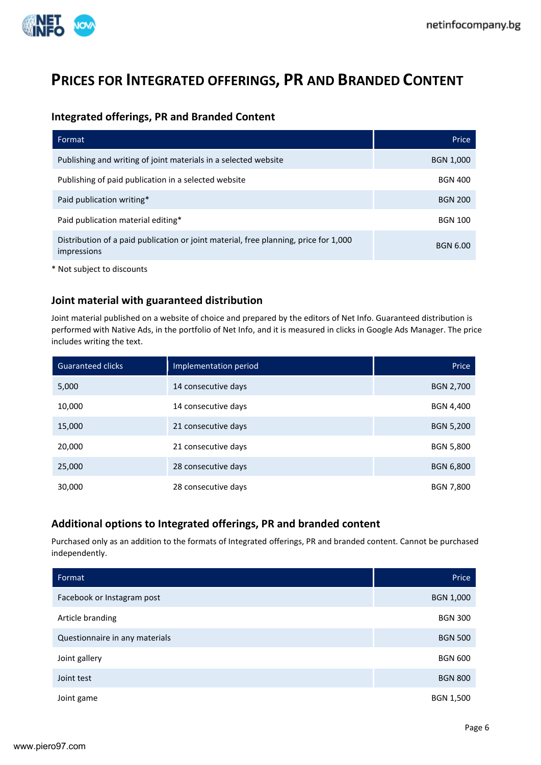

# **PRICES FOR INTEGRATED OFFERINGS, PR AND BRANDED CONTENT**

## **Integrated offerings, PR and Branded Content**

| Format                                                                                              | Price           |
|-----------------------------------------------------------------------------------------------------|-----------------|
| Publishing and writing of joint materials in a selected website                                     | BGN 1,000       |
| Publishing of paid publication in a selected website                                                | <b>BGN 400</b>  |
| Paid publication writing*                                                                           | <b>BGN 200</b>  |
| Paid publication material editing*                                                                  | <b>BGN 100</b>  |
| Distribution of a paid publication or joint material, free planning, price for 1,000<br>impressions | <b>BGN 6.00</b> |

\* Not subject to discounts

## **Joint material with guaranteed distribution**

Joint material published on a website of choice and prepared by the editors of Net Info. Guaranteed distribution is performed with Native Ads, in the portfolio of Net Info, and it is measured in clicks in Google Ads Manager. The price includes writing the text.

| <b>Guaranteed clicks</b> | Implementation period | Price            |
|--------------------------|-----------------------|------------------|
| 5,000                    | 14 consecutive days   | BGN 2,700        |
| 10,000                   | 14 consecutive days   | <b>BGN 4,400</b> |
| 15,000                   | 21 consecutive days   | <b>BGN 5,200</b> |
| 20,000                   | 21 consecutive days   | <b>BGN 5,800</b> |
| 25,000                   | 28 consecutive days   | <b>BGN 6,800</b> |
| 30,000                   | 28 consecutive days   | <b>BGN 7,800</b> |

# **Additional options to Integrated offerings, PR and branded content**

Purchased only as an addition to the formats of Integrated offerings, PR and branded content. Cannot be purchased independently.

| Format                         | Price            |
|--------------------------------|------------------|
| Facebook or Instagram post     | <b>BGN 1,000</b> |
| Article branding               | <b>BGN 300</b>   |
| Questionnaire in any materials | <b>BGN 500</b>   |
| Joint gallery                  | <b>BGN 600</b>   |
| Joint test                     | <b>BGN 800</b>   |
| Joint game                     | BGN 1,500        |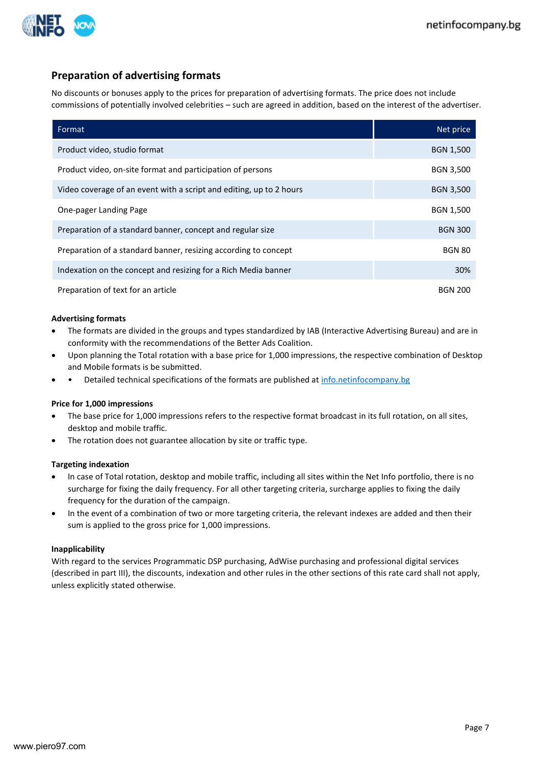

# **Preparation of advertising formats**

No discounts or bonuses apply to the prices for preparation of advertising formats. The price does not include commissions of potentially involved celebrities – such are agreed in addition, based on the interest of the advertiser.

| Format                                                              | Net price        |
|---------------------------------------------------------------------|------------------|
| Product video, studio format                                        | <b>BGN 1,500</b> |
| Product video, on-site format and participation of persons          | <b>BGN 3,500</b> |
| Video coverage of an event with a script and editing, up to 2 hours | <b>BGN 3,500</b> |
| One-pager Landing Page                                              | <b>BGN 1,500</b> |
| Preparation of a standard banner, concept and regular size          | <b>BGN 300</b>   |
| Preparation of a standard banner, resizing according to concept     | <b>BGN 80</b>    |
| Indexation on the concept and resizing for a Rich Media banner      | 30%              |
| Preparation of text for an article                                  | <b>BGN 200</b>   |

#### **Advertising formats**

- The formats are divided in the groups and types standardized by IAB (Interactive Advertising Bureau) and are in conformity with the recommendations of the Better Ads Coalition.
- Upon planning the Total rotation with a base price for 1,000 impressions, the respective combination of Desktop and Mobile formats is be submitted.
- Detailed technical specifications of the formats are published at [info.netinfocompany.bg](http://info.netinfocompany.bg/)

#### **Price for 1,000 impressions**

- The base price for 1,000 impressions refers to the respective format broadcast in its full rotation, on all sites, desktop and mobile traffic.
- The rotation does not guarantee allocation by site or traffic type.

#### **Targeting indexation**

- In case of Total rotation, desktop and mobile traffic, including all sites within the Net Info portfolio, there is no surcharge for fixing the daily frequency. For all other targeting criteria, surcharge applies to fixing the daily frequency for the duration of the campaign.
- In the event of a combination of two or more targeting criteria, the relevant indexes are added and then their sum is applied to the gross price for 1,000 impressions.

#### **Inapplicability**

With regard to the services Programmatic DSP purchasing, AdWise purchasing and professional digital services (described in part ІІІ), the discounts, indexation and other rules in the other sections of this rate card shall not apply, unless explicitly stated otherwise.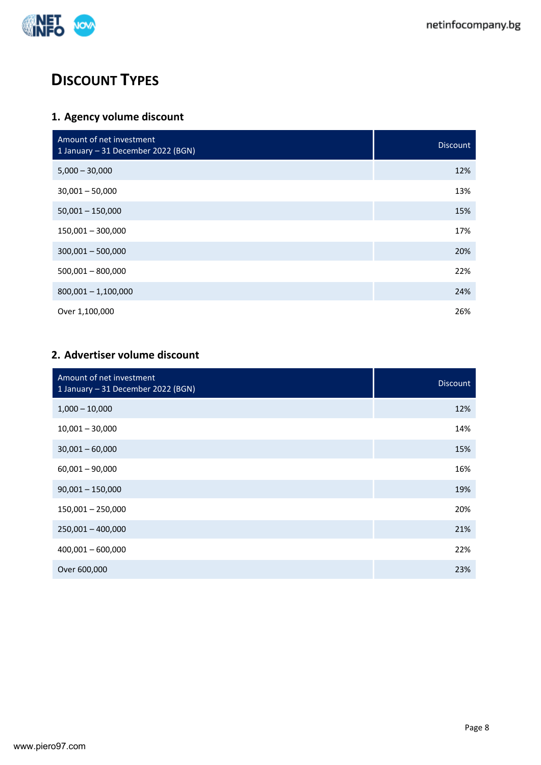

# **DISCOUNT TYPES**

# **1. Agency volume discount**

| Amount of net investment<br>1 January - 31 December 2022 (BGN) | <b>Discount</b> |
|----------------------------------------------------------------|-----------------|
| $5,000 - 30,000$                                               | 12%             |
| $30,001 - 50,000$                                              | 13%             |
| $50,001 - 150,000$                                             | 15%             |
| $150,001 - 300,000$                                            | 17%             |
| $300,001 - 500,000$                                            | 20%             |
| $500,001 - 800,000$                                            | 22%             |
| $800,001 - 1,100,000$                                          | 24%             |
| Over 1,100,000                                                 | 26%             |

# **2. Advertiser volume discount**

| Amount of net investment<br>1 January - 31 December 2022 (BGN) | <b>Discount</b> |
|----------------------------------------------------------------|-----------------|
| $1,000 - 10,000$                                               | 12%             |
| $10,001 - 30,000$                                              | 14%             |
| $30,001 - 60,000$                                              | 15%             |
| $60,001 - 90,000$                                              | 16%             |
| $90,001 - 150,000$                                             | 19%             |
| $150,001 - 250,000$                                            | 20%             |
| $250,001 - 400,000$                                            | 21%             |
| $400,001 - 600,000$                                            | 22%             |
| Over 600,000                                                   | 23%             |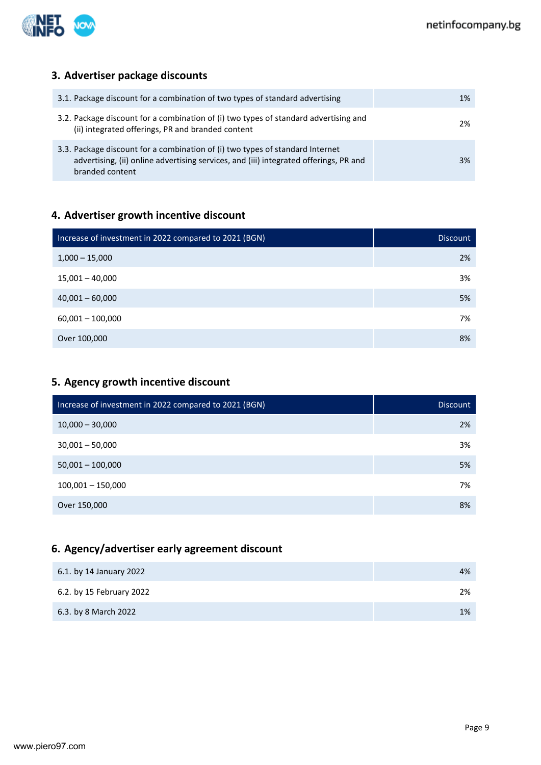

# **3. Advertiser package discounts**

| 3.1. Package discount for a combination of two types of standard advertising                                                                                                              | 1% |
|-------------------------------------------------------------------------------------------------------------------------------------------------------------------------------------------|----|
| 3.2. Package discount for a combination of (i) two types of standard advertising and<br>(ii) integrated offerings, PR and branded content                                                 | 2% |
| 3.3. Package discount for a combination of (i) two types of standard Internet<br>advertising, (ii) online advertising services, and (iii) integrated offerings, PR and<br>branded content | 3% |

# **4. Advertiser growth incentive discount**

| Increase of investment in 2022 compared to 2021 (BGN) | <b>Discount</b> |
|-------------------------------------------------------|-----------------|
| $1,000 - 15,000$                                      | 2%              |
| $15,001 - 40,000$                                     | 3%              |
| $40,001 - 60,000$                                     | 5%              |
| $60,001 - 100,000$                                    | 7%              |
| Over 100,000                                          | 8%              |

# **5. Agency growth incentive discount**

| Increase of investment in 2022 compared to 2021 (BGN) | <b>Discount</b> |
|-------------------------------------------------------|-----------------|
| $10,000 - 30,000$                                     | 2%              |
| $30,001 - 50,000$                                     | 3%              |
| $50,001 - 100,000$                                    | 5%              |
| $100,001 - 150,000$                                   | 7%              |
| Over 150,000                                          | 8%              |

# **6. Agency/advertiser early agreement discount**

| 6.1. by 14 January 2022  | 4% |
|--------------------------|----|
| 6.2. by 15 February 2022 | 2% |
| 6.3. by 8 March 2022     | 1% |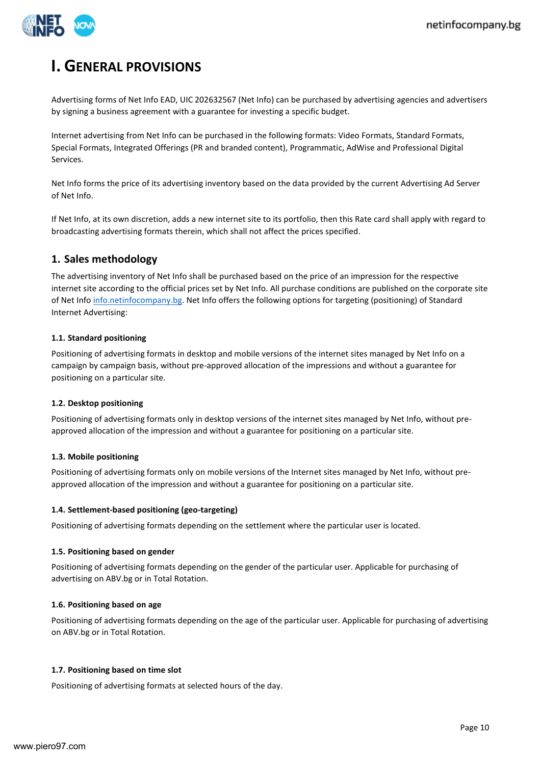

# **I. GENERAL PROVISIONS**

Advertising forms of Net Info EAD, UIC 202632567 (Net Info) can be purchased by advertising agencies and advertisers by signing a business agreement with a guarantee for investing a specific budget.

Internet advertising from Net Info can be purchased in the following formats: Video Formats, Standard Formats, Special Formats, Integrated Offerings (PR and branded content), Programmatic, AdWise and Professional Digital Services.

Net Info forms the price of its advertising inventory based on the data provided by the current Advertising Ad Server of Net Info.

If Net Info, at its own discretion, adds a new internet site to its portfolio, then this Rate card shall apply with regard to broadcasting advertising formats therein, which shall not affect the prices specified.

# **1. Sales methodology**

The advertising inventory of Net Info shall be purchased based on the price of an impression for the respective internet site according to the official prices set by Net Info. All purchase conditions are published on the corporate site of Net Inf[o info.netinfocompany.bg.](http://info.netinfocompany.bg/) Net Info offers the following options for targeting (positioning) of Standard Internet Advertising:

#### **1.1. Standard positioning**

Positioning of advertising formats in desktop and mobile versions of the internet sites managed by Net Info on a campaign by campaign basis, without pre-approved allocation of the impressions and without a guarantee for positioning on a particular site.

#### **1.2. Desktop positioning**

Positioning of advertising formats only in desktop versions of the internet sites managed by Net Info, without preapproved allocation of the impression and without a guarantee for positioning on a particular site.

#### **1.3. Mobile positioning**

Positioning of advertising formats only on mobile versions of the Internet sites managed by Net Info, without preapproved allocation of the impression and without a guarantee for positioning on a particular site.

#### **1.4. Settlement-based positioning (geo-targeting)**

Positioning of advertising formats depending on the settlement where the particular user is located.

#### **1.5. Positioning based on gender**

Positioning of advertising formats depending on the gender of the particular user. Applicable for purchasing of advertising on ABV.bg or in Total Rotation.

#### **1.6. Positioning based on age**

Positioning of advertising formats depending on the age of the particular user. Applicable for purchasing of advertising on ABV.bg or in Total Rotation.

#### **1.7. Positioning based on time slot**

Positioning of advertising formats at selected hours of the day.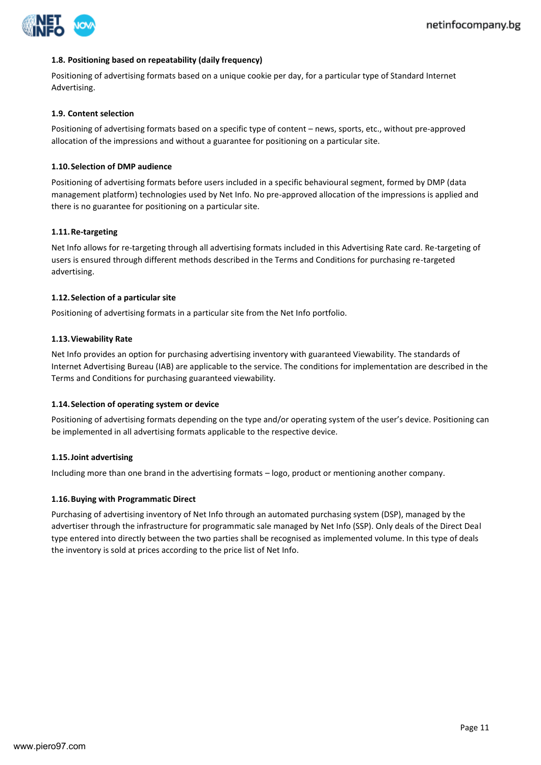

#### **1.8. Positioning based on repeatability (daily frequency)**

Positioning of advertising formats based on a unique cookie per day, for a particular type of Standard Internet Advertising.

#### **1.9. Content selection**

Positioning of advertising formats based on a specific type of content – news, sports, etc., without pre-approved allocation of the impressions and without a guarantee for positioning on a particular site.

#### **1.10.Selection of DMP audience**

Positioning of advertising formats before users included in a specific behavioural segment, formed by DMP (data management platform) technologies used by Net Info. No pre-approved allocation of the impressions is applied and there is no guarantee for positioning on a particular site.

#### **1.11.Re-targeting**

Net Info allows for re-targeting through all advertising formats included in this Advertising Rate card. Re-targeting of users is ensured through different methods described in the Terms and Conditions for purchasing re-targeted advertising.

#### **1.12.Selection of a particular site**

Positioning of advertising formats in a particular site from the Net Info portfolio.

#### **1.13.Viewability Rate**

Net Info provides an option for purchasing advertising inventory with guaranteed Viewability. The standards of Internet Advertising Bureau (IAB) are applicable to the service. The conditions for implementation are described in the Terms and Conditions for purchasing guaranteed viewability.

#### **1.14.Selection of operating system or device**

Positioning of advertising formats depending on the type and/or operating system of the user's device. Positioning can be implemented in all advertising formats applicable to the respective device.

#### **1.15.Joint advertising**

Including more than one brand in the advertising formats – logo, product or mentioning another company.

#### **1.16.Buying with Programmatic Direct**

Purchasing of advertising inventory of Net Info through an automated purchasing system (DSP), managed by the advertiser through the infrastructure for programmatic sale managed by Net Info (SSP). Only deals of the Direct Deal type entered into directly between the two parties shall be recognised as implemented volume. In this type of deals the inventory is sold at prices according to the price list of Net Info.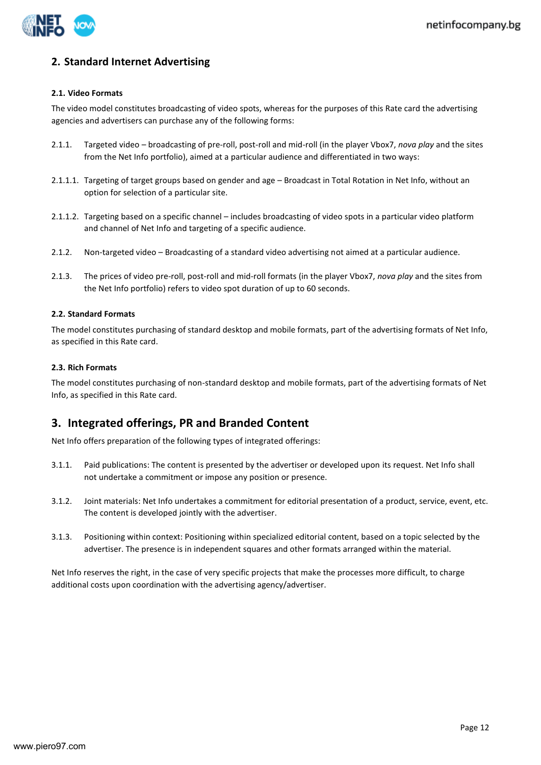

# **2. Standard Internet Advertising**

#### **2.1. Video Formats**

The video model constitutes broadcasting of video spots, whereas for the purposes of this Rate card the advertising agencies and advertisers can purchase any of the following forms:

- 2.1.1. Targeted video broadcasting of pre-roll, post-roll and mid-roll (in the player Vbox7, *nova play* and the sites from the Net Info portfolio), aimed at a particular audience and differentiated in two ways:
- 2.1.1.1. Targeting of target groups based on gender and age Broadcast in Total Rotation in Net Info, without an option for selection of a particular site.
- 2.1.1.2. Targeting based on a specific channel includes broadcasting of video spots in a particular video platform and channel of Net Info and targeting of a specific audience.
- 2.1.2. Non-targeted video Broadcasting of a standard video advertising not aimed at a particular audience.
- 2.1.3. The prices of video pre-roll, post-roll and mid-roll formats (in the player Vbox7, *nova play* and the sites from the Net Info portfolio) refers to video spot duration of up to 60 seconds.

#### **2.2. Standard Formats**

The model constitutes purchasing of standard desktop and mobile formats, part of the advertising formats of Net Info, as specified in this Rate card.

#### **2.3. Rich Formats**

The model constitutes purchasing of non-standard desktop and mobile formats, part of the advertising formats of Net Info, as specified in this Rate card.

# **3. Integrated offerings, PR and Branded Content**

Net Info offers preparation of the following types of integrated offerings:

- 3.1.1. Paid publications: The content is presented by the advertiser or developed upon its request. Net Info shall not undertake a commitment or impose any position or presence.
- 3.1.2. Joint materials: Net Info undertakes a commitment for editorial presentation of a product, service, event, etc. The content is developed jointly with the advertiser.
- 3.1.3. Positioning within context: Positioning within specialized editorial content, based on a topic selected by the advertiser. The presence is in independent squares and other formats arranged within the material.

Net Info reserves the right, in the case of very specific projects that make the processes more difficult, to charge additional costs upon coordination with the advertising agency/advertiser.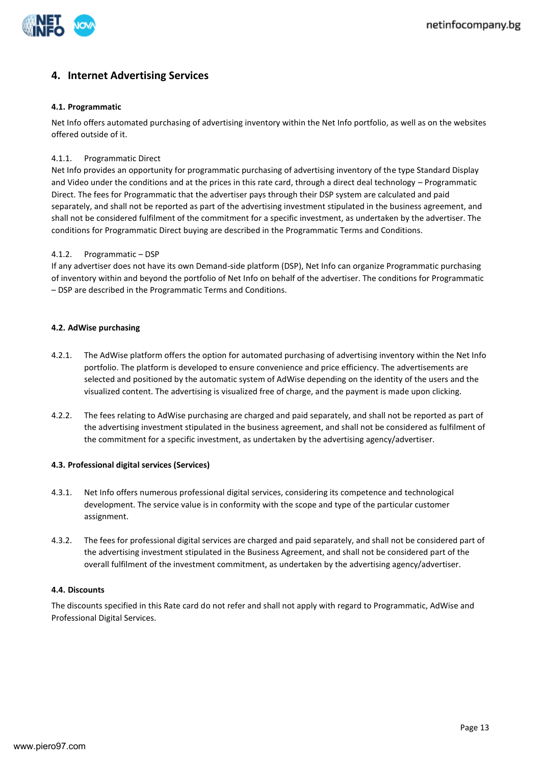

# **4. Internet Advertising Services**

#### **4.1. Programmatic**

Net Info offers automated purchasing of advertising inventory within the Net Info portfolio, as well as on the websites offered outside of it.

#### 4.1.1. Programmatic Direct

Net Info provides an opportunity for programmatic purchasing of advertising inventory of the type Standard Display and Video under the conditions and at the prices in this rate card, through a direct deal technology – Programmatic Direct. The fees for Programmatic that the advertiser pays through their DSP system are calculated and paid separately, and shall not be reported as part of the advertising investment stipulated in the business agreement, and shall not be considered fulfilment of the commitment for a specific investment, as undertaken by the advertiser. The conditions for Programmatic Direct buying are described in the Programmatic Terms and Conditions.

#### 4.1.2. Programmatic – DSP

If any advertiser does not have its own Demand-side platform (DSP), Net Info can organize Programmatic purchasing of inventory within and beyond the portfolio of Net Info on behalf of the advertiser. The conditions for Programmatic – DSP are described in the Programmatic Terms and Conditions.

#### **4.2. AdWise purchasing**

- 4.2.1. The AdWise platform offers the option for automated purchasing of advertising inventory within the Net Info portfolio. The platform is developed to ensure convenience and price efficiency. The advertisements are selected and positioned by the automatic system of AdWise depending on the identity of the users and the visualized content. The advertising is visualized free of charge, and the payment is made upon clicking.
- 4.2.2. The fees relating to AdWise purchasing are charged and paid separately, and shall not be reported as part of the advertising investment stipulated in the business agreement, and shall not be considered as fulfilment of the commitment for a specific investment, as undertaken by the advertising agency/advertiser.

#### **4.3. Professional digital services (Services)**

- 4.3.1. Net Info offers numerous professional digital services, considering its competence and technological development. The service value is in conformity with the scope and type of the particular customer assignment.
- 4.3.2. The fees for professional digital services are charged and paid separately, and shall not be considered part of the advertising investment stipulated in the Business Agreement, and shall not be considered part of the overall fulfilment of the investment commitment, as undertaken by the advertising agency/advertiser.

#### **4.4. Discounts**

The discounts specified in this Rate card do not refer and shall not apply with regard to Programmatic, AdWise and Professional Digital Services.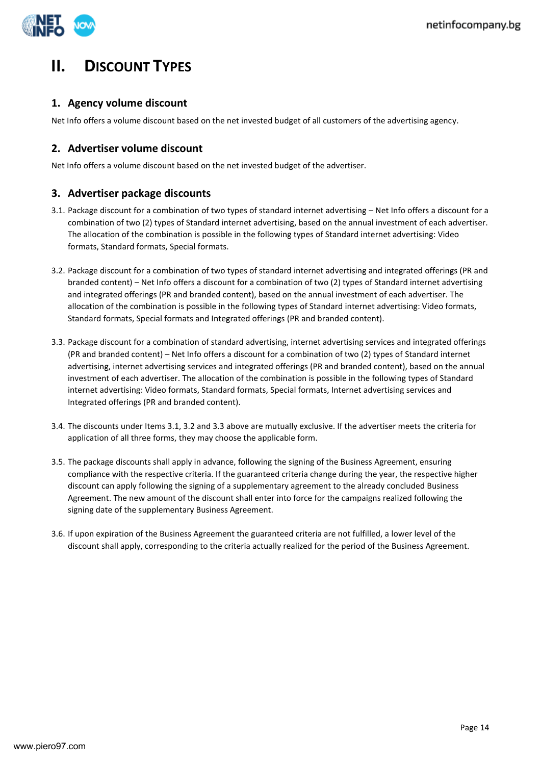

# **II. DISCOUNT TYPES**

# **1. Agency volume discount**

Net Info offers a volume discount based on the net invested budget of all customers of the advertising agency.

# **2. Advertiser volume discount**

Net Info offers a volume discount based on the net invested budget of the advertiser.

# **3. Advertiser package discounts**

- 3.1. Package discount for a combination of two types of standard internet advertising Net Info offers a discount for a combination of two (2) types of Standard internet advertising, based on the annual investment of each advertiser. The allocation of the combination is possible in the following types of Standard internet advertising: Video formats, Standard formats, Special formats.
- 3.2. Package discount for a combination of two types of standard internet advertising and integrated offerings (PR and branded content) – Net Info offers a discount for a combination of two (2) types of Standard internet advertising and integrated offerings (PR and branded content), based on the annual investment of each advertiser. The allocation of the combination is possible in the following types of Standard internet advertising: Video formats, Standard formats, Special formats and Integrated offerings (PR and branded content).
- 3.3. Package discount for a combination of standard advertising, internet advertising services and integrated offerings (PR and branded content) – Net Info offers a discount for a combination of two (2) types of Standard internet advertising, internet advertising services and integrated offerings (PR and branded content), based on the annual investment of each advertiser. The allocation of the combination is possible in the following types of Standard internet advertising: Video formats, Standard formats, Special formats, Internet advertising services and Integrated offerings (PR and branded content).
- 3.4. The discounts under Items 3.1, 3.2 and 3.3 above are mutually exclusive. If the advertiser meets the criteria for application of all three forms, they may choose the applicable form.
- 3.5. The package discounts shall apply in advance, following the signing of the Business Agreement, ensuring compliance with the respective criteria. If the guaranteed criteria change during the year, the respective higher discount can apply following the signing of a supplementary agreement to the already concluded Business Agreement. The new amount of the discount shall enter into force for the campaigns realized following the signing date of the supplementary Business Agreement.
- 3.6. If upon expiration of the Business Agreement the guaranteed criteria are not fulfilled, a lower level of the discount shall apply, corresponding to the criteria actually realized for the period of the Business Agreement.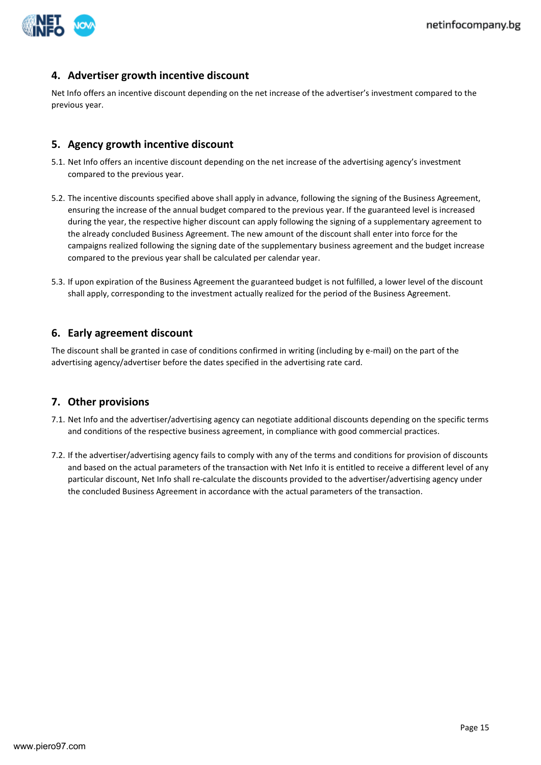

## **4. Advertiser growth incentive discount**

Net Info offers an incentive discount depending on the net increase of the advertiser's investment compared to the previous year.

### **5. Agency growth incentive discount**

- 5.1. Net Info offers an incentive discount depending on the net increase of the advertising agency's investment compared to the previous year.
- 5.2. The incentive discounts specified above shall apply in advance, following the signing of the Business Agreement, ensuring the increase of the annual budget compared to the previous year. If the guaranteed level is increased during the year, the respective higher discount can apply following the signing of a supplementary agreement to the already concluded Business Agreement. The new amount of the discount shall enter into force for the campaigns realized following the signing date of the supplementary business agreement and the budget increase compared to the previous year shall be calculated per calendar year.
- 5.3. If upon expiration of the Business Agreement the guaranteed budget is not fulfilled, a lower level of the discount shall apply, corresponding to the investment actually realized for the period of the Business Agreement.

## **6. Early agreement discount**

The discount shall be granted in case of conditions confirmed in writing (including by e-mail) on the part of the advertising agency/advertiser before the dates specified in the advertising rate card.

## **7. Other provisions**

- 7.1. Net Info and the advertiser/advertising agency can negotiate additional discounts depending on the specific terms and conditions of the respective business agreement, in compliance with good commercial practices.
- 7.2. If the advertiser/advertising agency fails to comply with any of the terms and conditions for provision of discounts and based on the actual parameters of the transaction with Net Info it is entitled to receive a different level of any particular discount, Net Info shall re-calculate the discounts provided to the advertiser/advertising agency under the concluded Business Agreement in accordance with the actual parameters of the transaction.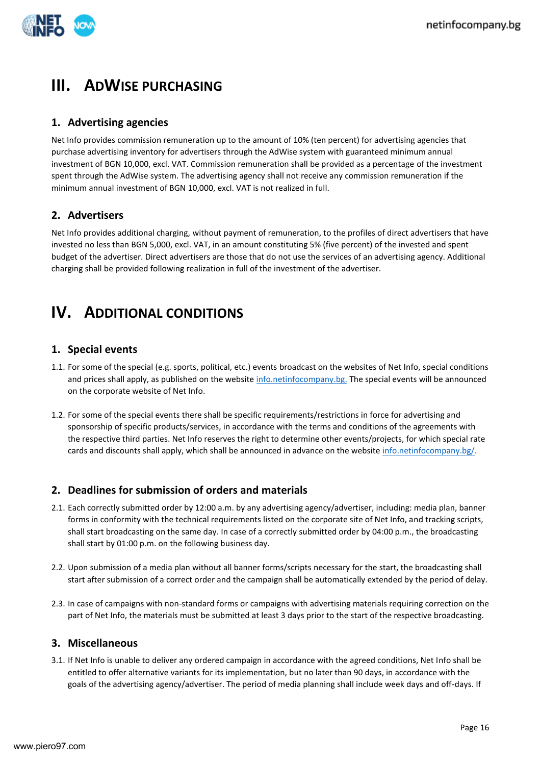

# **III. ADWISE PURCHASING**

# **1. Advertising agencies**

Net Info provides commission remuneration up to the amount of 10% (ten percent) for advertising agencies that purchase advertising inventory for advertisers through the AdWise system with guaranteed minimum annual investment of BGN 10,000, excl. VAT. Commission remuneration shall be provided as a percentage of the investment spent through the AdWise system. The advertising agency shall not receive any commission remuneration if the minimum annual investment of BGN 10,000, excl. VAT is not realized in full.

# **2. Advertisers**

Net Info provides additional charging, without payment of remuneration, to the profiles of direct advertisers that have invested no less than BGN 5,000, excl. VAT, in an amount constituting 5% (five percent) of the invested and spent budget of the advertiser. Direct advertisers are those that do not use the services of an advertising agency. Additional charging shall be provided following realization in full of the investment of the advertiser.

# **IV.** ADDITIONAL CONDITIONS

# **1. Special events**

- 1.1. For some of the special (e.g. sports, political, etc.) events broadcast on the websites of Net Info, special conditions and prices shall apply, as published on the website [info.netinfocompany.bg.](http://info.netinfocompany.bg/) The special events will be announced on the corporate website of Net Info.
- 1.2. For some of the special events there shall be specific requirements/restrictions in force for advertising and sponsorship of specific products/services, in accordance with the terms and conditions of the agreements with the respective third parties. Net Info reserves the right to determine other events/projects, for which special rate cards and discounts shall apply, which shall be announced in advance on the website [info.netinfocompany.bg/.](http://info.netinfocompany.bg/)

# **2. Deadlines for submission of orders and materials**

- 2.1. Each correctly submitted order by 12:00 a.m. by any advertising agency/advertiser, including: media plan, banner forms in conformity with the technical requirements listed on the corporate site of Net Info, and tracking scripts, shall start broadcasting on the same day. In case of a correctly submitted order by 04:00 p.m., the broadcasting shall start by 01:00 p.m. on the following business day.
- 2.2. Upon submission of a media plan without all banner forms/scripts necessary for the start, the broadcasting shall start after submission of a correct order and the campaign shall be automatically extended by the period of delay.
- 2.3. In case of campaigns with non-standard forms or campaigns with advertising materials requiring correction on the part of Net Info, the materials must be submitted at least 3 days prior to the start of the respective broadcasting.

## **3. Miscellaneous**

3.1. If Net Info is unable to deliver any ordered campaign in accordance with the agreed conditions, Net Info shall be entitled to offer alternative variants for its implementation, but no later than 90 days, in accordance with the goals of the advertising agency/advertiser. The period of media planning shall include week days and off-days. If